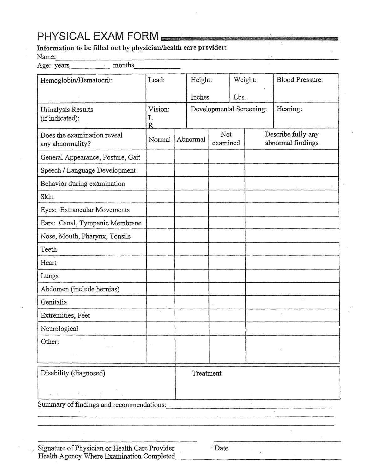## PHYSICAL EXAM FORM

## Name:·--------------------------------- Age: years\_\_\_\_\_ months\_\_\_\_\_\_

| Hemoglobin/Hematocrit:                                                       | Lead:                        |          | Height:   |                 | Weight:                  | <b>Blood Pressure:</b>                  |  |
|------------------------------------------------------------------------------|------------------------------|----------|-----------|-----------------|--------------------------|-----------------------------------------|--|
|                                                                              |                              |          | Inches    |                 | Lbs.                     |                                         |  |
| Urinalysis Results<br>(if indicated):                                        | Vision:<br>L<br>$\mathsf{R}$ |          |           |                 | Developmental Screening: | Hearing:                                |  |
| Does the examination reveal<br>any abnormality?                              | Normal                       | Abnormal |           | Not<br>examined |                          | Describe fully any<br>abnormal findings |  |
| General Appearance, Posture, Gait                                            |                              |          |           |                 |                          |                                         |  |
| Speech / Language Development                                                |                              |          |           |                 |                          |                                         |  |
| Behavior during examination                                                  |                              |          |           |                 |                          |                                         |  |
| Skin                                                                         |                              |          |           |                 |                          |                                         |  |
| Eyes: Extraocular Movements                                                  |                              |          |           |                 |                          |                                         |  |
| Ears: Canal, Tympanic Membrane                                               |                              |          |           |                 |                          |                                         |  |
| Nose, Mouth, Pharynx, Tonsils                                                |                              |          |           |                 |                          |                                         |  |
| Teeth                                                                        |                              |          |           |                 |                          |                                         |  |
| Heart                                                                        |                              |          |           |                 |                          |                                         |  |
| Lungs                                                                        |                              |          |           |                 |                          |                                         |  |
| Abdomen (include hernias)                                                    |                              |          |           |                 |                          |                                         |  |
| Genitalia                                                                    |                              |          |           |                 |                          |                                         |  |
| Extremities, Feet                                                            |                              |          |           |                 |                          |                                         |  |
| Neurological                                                                 |                              |          |           |                 |                          |                                         |  |
| Other:                                                                       |                              |          |           |                 |                          |                                         |  |
| Disability (diagnosed)                                                       |                              |          | Treatment |                 |                          |                                         |  |
| $\sigma$ , where $\sigma$ is the function of the $\sigma$ -function $\sigma$ |                              |          |           |                 |                          |                                         |  |
| Summary of findings and recommendations:                                     |                              |          |           |                 |                          |                                         |  |
|                                                                              |                              |          |           |                 |                          |                                         |  |
|                                                                              |                              |          |           |                 |                          |                                         |  |
| Signature of Physician or Health Care Provider<br>Date                       |                              |          |           |                 |                          |                                         |  |

Health Agency Where Examination Completed

i.<br>Se